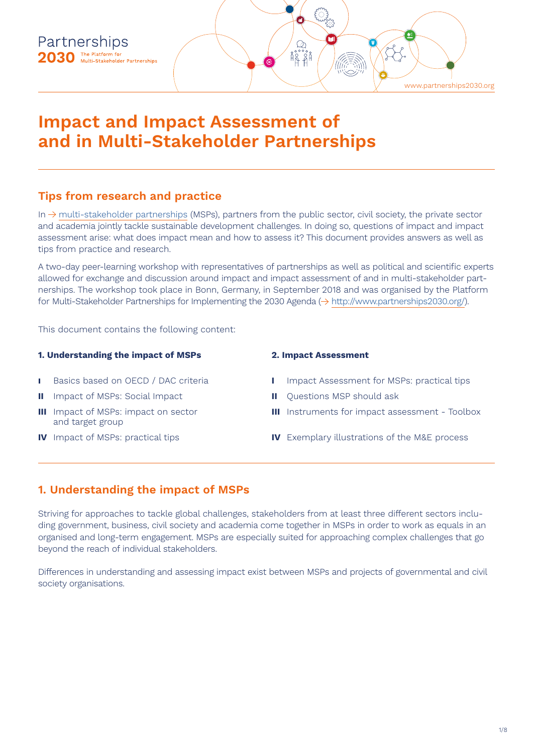

# **Impact and Impact Assessment of and in Multi-Stakeholder Partnerships**

## **Tips from research and practice**

In  $\rightarrow$  [multi-stakeholder partnerships](https://www.partnerschaften2030.de/en/was-ist-eine-map/) (MSPs), partners from the public sector, civil society, the private sector and academia jointly tackle sustainable development challenges. In doing so, questions of impact and impact assessment arise: what does impact mean and how to assess it? This document provides answers as well as tips from practice and research.

A two-day peer-learning workshop with representatives of partnerships as well as political and scientific experts allowed for exchange and discussion around impact and impact assessment of and in multi-stakeholder partnerships. The workshop took place in Bonn, Germany, in September 2018 and was organised by the Platform for Multi-Stakeholder Partnerships for Implementing the 2030 Agenda ( $\rightarrow$  [http://www.partnerships2030.org/](https://www.partnerschaften2030.de/en/)).

This document contains the following content:

## **1. Understanding the impact of MSPs**

- **I** Basics based on OECD / DAC criteria
- **II** Impact of MSPs: Social Impact
- **III** Impact of MSPs: impact on sector and target group
- **IV** Impact of MSPs: practical tips

## **2. Impact Assessment**

- **I** Impact Assessment for MSPs: practical tips
- **II** Ouestions MSP should ask
- **III** Instruments for impact assessment Toolbox
- **IV** Exemplary illustrations of the M&E process

## **1. Understanding the impact of MSPs**

Striving for approaches to tackle global challenges, stakeholders from at least three different sectors including government, business, civil society and academia come together in MSPs in order to work as equals in an organised and long-term engagement. MSPs are especially suited for approaching complex challenges that go beyond the reach of individual stakeholders.

Differences in understanding and assessing impact exist between MSPs and projects of governmental and civil society organisations.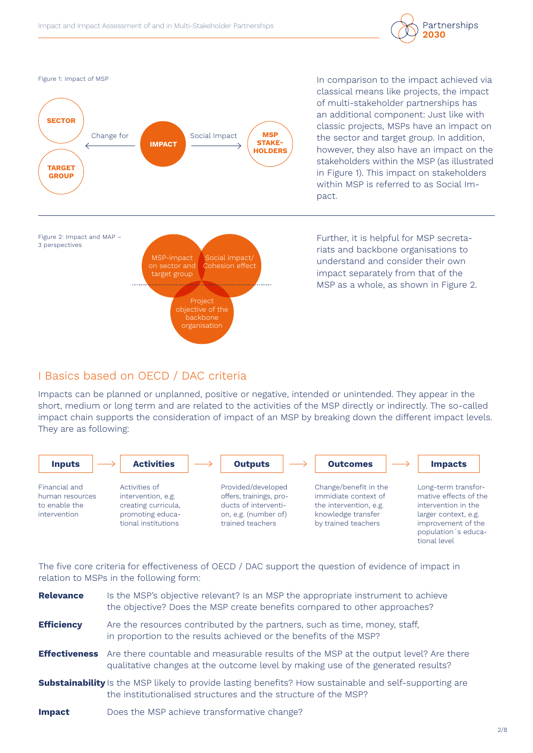



In comparison to the impact achieved via classical means like projects, the impact of multi-stakeholder partnerships has an additional component: Just like with classic projects, MSPs have an impact on the sector and target group. In addition, however, they also have an impact on the stakeholders within the MSP (as illustrated in Figure 1). This impact on stakeholders within MSP is referred to as Social Impact.



Further, it is helpful for MSP secretariats and backbone organisations to understand and consider their own impact separately from that of the MSP as a whole, as shown in Figure 2.

## I Basics based on OECD / DAC criteria

Impacts can be planned or unplanned, positive or negative, intended or unintended. They appear in the short, medium or long term and are related to the activities of the MSP directly or indirectly. The so-called impact chain supports the consideration of impact of an MSP by breaking down the different impact levels. They are as following:



The five core criteria for effectiveness of OECD / DAC support the question of evidence of impact in relation to MSPs in the following form:

| <b>Relevance</b>  | Is the MSP's objective relevant? Is an MSP the appropriate instrument to achieve<br>the objective? Does the MSP create benefits compared to other approaches?                                 |
|-------------------|-----------------------------------------------------------------------------------------------------------------------------------------------------------------------------------------------|
| <b>Efficiency</b> | Are the resources contributed by the partners, such as time, money, staff,<br>in proportion to the results achieved or the benefits of the MSP?                                               |
|                   | <b>Effectiveness</b> Are there countable and measurable results of the MSP at the output level? Are there<br>qualitative changes at the outcome level by making use of the generated results? |
|                   | <b>Substainability</b> Is the MSP likely to provide lasting benefits? How sustainable and self-supporting are<br>the institutionalised structures and the structure of the MSP?               |
| <b>Impact</b>     | Does the MSP achieve transformative change?                                                                                                                                                   |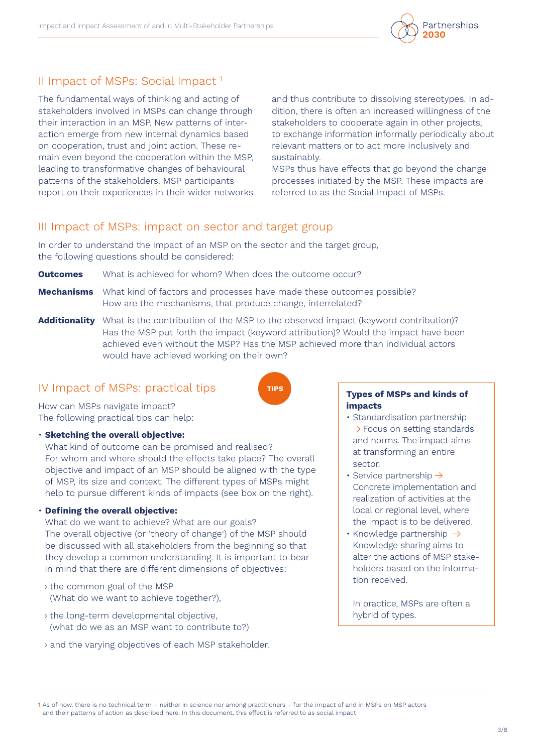## II Impact of MSPs: Social Impact 1

The fundamental ways of thinking and acting of stakeholders involved in MSPs can change through their interaction in an MSP. New patterns of interaction emerge from new internal dynamics based on cooperation, trust and joint action. These remain even beyond the cooperation within the MSP, leading to transformative changes of behavioural patterns of the stakeholders. MSP participants report on their experiences in their wider networks and thus contribute to dissolving stereotypes. In addition, there is often an increased willingness of the stakeholders to cooperate again in other projects, to exchange information informally periodically about relevant matters or to act more inclusively and sustainably.

MSPs thus have effects that go beyond the change processes initiated by the MSP. These impacts are referred to as the Social Impact of MSPs.

## III Impact of MSPs: impact on sector and target group

In order to understand the impact of an MSP on the sector and the target group, the following questions should be considered:

**Outcomes** What is achieved for whom? When does the outcome occur?

- **Mechanisms** What kind of factors and processes have made these outcomes possible? How are the mechanisms, that produce change, interrelated?
- **Additionality** What is the contribution of the MSP to the observed impact (keyword contribution)? Has the MSP put forth the impact (keyword attribution)? Would the impact have been achieved even without the MSP? Has the MSP achieved more than individual actors would have achieved working on their own?

**TIPS**

## IV Impact of MSPs: practical tips

How can MSPs navigate impact? The following practical tips can help:

## • **Sketching the overall objective:**

What kind of outcome can be promised and realised? For whom and where should the effects take place? The overall objective and impact of an MSP should be aligned with the type of MSP, its size and context. The different types of MSPs might help to pursue different kinds of impacts (see box on the right).

## • **Defining the overall objective:**

What do we want to achieve? What are our goals? The overall objective (or 'theory of change') of the MSP should be discussed with all stakeholders from the beginning so that they develop a common understanding. It is important to bear in mind that there are different dimensions of objectives:

- › the common goal of the MSP (What do we want to achieve together?),
- › the long-term developmental objective, (what do we as an MSP want to contribute to?)
- › and the varying objectives of each MSP stakeholder.

#### **Types of MSPs and kinds of impacts**

- Standardisation partnership  $\rightarrow$  Focus on setting standards and norms. The impact aims at transforming an entire sector.
- Service partnership  $\rightarrow$ Concrete implementation and realization of activities at the local or regional level, where the impact is to be delivered.
- Knowledge partnership  $\rightarrow$ Knowledge sharing aims to alter the actions of MSP stakeholders based on the information received.

In practice, MSPs are often a hybrid of types.

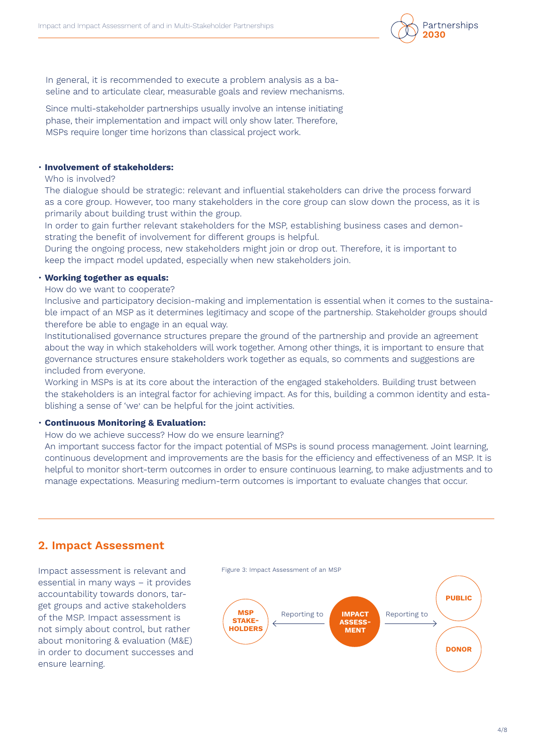

In general, it is recommended to execute a problem analysis as a baseline and to articulate clear, measurable goals and review mechanisms.

Since multi-stakeholder partnerships usually involve an intense initiating phase, their implementation and impact will only show later. Therefore, MSPs require longer time horizons than classical project work.

## • **Involvement of stakeholders:**

Who is involved?

The dialogue should be strategic: relevant and influential stakeholders can drive the process forward as a core group. However, too many stakeholders in the core group can slow down the process, as it is primarily about building trust within the group.

In order to gain further relevant stakeholders for the MSP, establishing business cases and demonstrating the benefit of involvement for different groups is helpful.

During the ongoing process, new stakeholders might join or drop out. Therefore, it is important to keep the impact model updated, especially when new stakeholders join.

### • **Working together as equals:**

How do we want to cooperate?

Inclusive and participatory decision-making and implementation is essential when it comes to the sustainable impact of an MSP as it determines legitimacy and scope of the partnership. Stakeholder groups should therefore be able to engage in an equal way.

Institutionalised governance structures prepare the ground of the partnership and provide an agreement about the way in which stakeholders will work together. Among other things, it is important to ensure that governance structures ensure stakeholders work together as equals, so comments and suggestions are included from everyone.

Working in MSPs is at its core about the interaction of the engaged stakeholders. Building trust between the stakeholders is an integral factor for achieving impact. As for this, building a common identity and establishing a sense of 'we' can be helpful for the joint activities.

#### • **Continuous Monitoring & Evaluation:**

How do we achieve success? How do we ensure learning?

An important success factor for the impact potential of MSPs is sound process management. Joint learning, continuous development and improvements are the basis for the efficiency and effectiveness of an MSP. It is helpful to monitor short-term outcomes in order to ensure continuous learning, to make adjustments and to manage expectations. Measuring medium-term outcomes is important to evaluate changes that occur.

## **2. Impact Assessment**

Impact assessment is relevant and essential in many ways – it provides accountability towards donors, target groups and active stakeholders of the MSP. Impact assessment is not simply about control, but rather about monitoring & evaluation (M&E) in order to document successes and ensure learning.

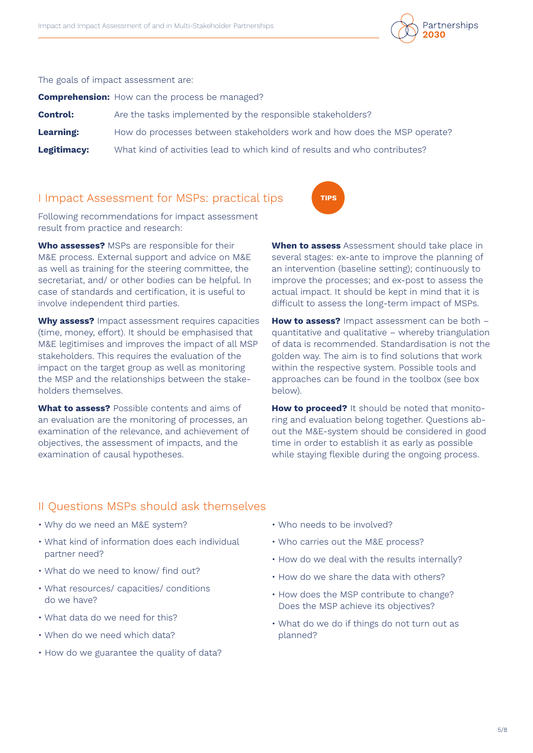

The goals of impact assessment are:

**Comprehension:** How can the process be managed?

| <b>Control:</b>  | Are the tasks implemented by the responsible stakeholders?                 |
|------------------|----------------------------------------------------------------------------|
| <b>Learning:</b> | How do processes between stakeholders work and how does the MSP operate?   |
| Legitimacy:      | What kind of activities lead to which kind of results and who contributes? |

## I Impact Assessment for MSPs: practical tips

Following recommendations for impact assessment result from practice and research:

**Who assesses?** MSPs are responsible for their M&E process. External support and advice on M&E as well as training for the steering committee, the secretariat, and/ or other bodies can be helpful. In case of standards and certification, it is useful to involve independent third parties.

**Why assess?** Impact assessment requires capacities (time, money, effort). It should be emphasised that M&E legitimises and improves the impact of all MSP stakeholders. This requires the evaluation of the impact on the target group as well as monitoring the MSP and the relationships between the stakeholders themselves.

**What to assess?** Possible contents and aims of an evaluation are the monitoring of processes, an examination of the relevance, and achievement of objectives, the assessment of impacts, and the examination of causal hypotheses.

**When to assess** Assessment should take place in several stages: ex-ante to improve the planning of an intervention (baseline setting); continuously to improve the processes; and ex-post to assess the actual impact. It should be kept in mind that it is difficult to assess the long-term impact of MSPs.

**TIPS**

**How to assess?** Impact assessment can be both – quantitative and qualitative – whereby triangulation of data is recommended. Standardisation is not the golden way. The aim is to find solutions that work within the respective system. Possible tools and approaches can be found in the toolbox (see box below).

**How to proceed?** It should be noted that monitoring and evaluation belong together. Questions about the M&E-system should be considered in good time in order to establish it as early as possible while staying flexible during the ongoing process.

## II Questions MSPs should ask themselves

- Why do we need an M&E system?
- What kind of information does each individual partner need?
- What do we need to know/ find out?
- What resources/ capacities/ conditions do we have?
- What data do we need for this?
- When do we need which data?
- How do we guarantee the quality of data?
- Who needs to be involved?
- Who carries out the M&E process?
- How do we deal with the results internally?
- How do we share the data with others?
- How does the MSP contribute to change? Does the MSP achieve its objectives?
- What do we do if things do not turn out as planned?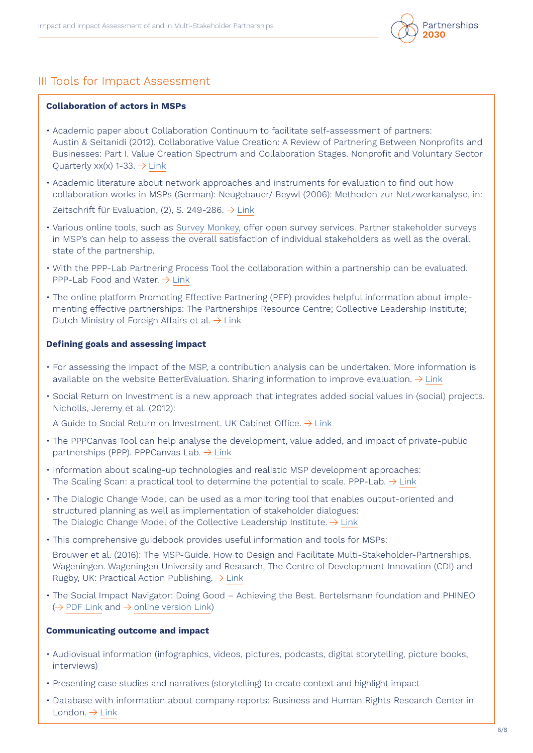

## III Tools for Impact Assessment

#### **Collaboration of actors in MSPs**

- Academic paper about Collaboration Continuum to facilitate self-assessment of partners: Austin & Seitanidi (2012). Collaborative Value Creation: A Review of Partnering Between Nonprofits and Businesses: Part I. Value Creation Spectrum and Collaboration Stages. Nonprofit and Voluntary Sector Quarterly  $xx(x)$  1-33.  $\rightarrow$  [Link](https://study.sagepub.com/sites/default/files/austinseitanidi.pdf)
- Academic literature about network approaches and instruments for evaluation to find out how collaboration works in MSPs (German): Neugebauer/ Beywl (2006): Methoden zur Netzwerkanalyse, in:

Zeitschrift für Evaluation, (2), S. 249-286.  $\rightarrow$  [Link](https://www.univation.org/sites/default/files/publikation/11_2006_beywl_methoden_zur_netzwerkanalyse.pdf)

- Various online tools, such as [Survey Monkey,](https://de.surveymonkey.com) offer open survey services. Partner stakeholder surveys in MSP's can help to assess the overall satisfaction of individual stakeholders as well as the overall state of the partnership.
- With the PPP-Lab Partnering Process Tool the collaboration within a partnership can be evaluated. PPP-Lab Food and Water.  $\rightarrow$  [Link](https://www.ppplab.org/tool/the-partnering-process-tool/)
- The online platform Promoting Effective Partnering (PEP) provides helpful information about implementing effective partnerships: The Partnerships Resource Centre; Collective Leadership Institute; Dutch Ministry of Foreign Affairs et al.  $\rightarrow$  [Link](http://www.effectivepartnering.org)

#### **Defining goals and assessing impact**

- For assessing the impact of the MSP, a contribution analysis can be undertaken. More information is available on the website BetterEvaluation. Sharing information to improve evaluation.  $\rightarrow$  [Link](https://www.betterevaluation.org/en/plan/approach/contribution_analysis)
- Social Return on Investment is a new approach that integrates added social values in (social) projects. Nicholls, Jeremy et al. (2012):

A Guide to Social Return on Investment. UK Cabinet Office.  $\rightarrow$  [Link](http://www.socialvalueuk.org)

- The PPPCanvas Tool can help analyse the development, value added, and impact of private-public partnerships (PPP). PPPCanvas Lab.  $\rightarrow$  [Link](https://ppplab.org/2017/11/pppcanvas/)
- Information about scaling-up technologies and realistic MSP development approaches: The Scaling Scan: a practical tool to determine the potential to scale. PPP-Lab.  $\rightarrow$  [Link](https://ppplab.org/2018/11/3223/)
- The Dialogic Change Model can be used as a monitoring tool that enables output-oriented and structured planning as well as implementation of stakeholder dialogues: The Dialogic Change Model of the Collective Leadership Institute.  $\rightarrow$  [Link](https://ppplab.org/2018/11/3223/)
- This comprehensive guidebook provides useful information and tools for MSPs:

Brouwer et al. (2016): The MSP-Guide. How to Design and Facilitate Multi-Stakeholder-Partnerships. Wageningen. Wageningen University and Research, The Centre of Development Innovation (CDI) and Rugby, UK: Practical Action Publishing.  $\rightarrow$  [Link](http://www.mspguide.org/sites/default/files/case/msp_guide-2016-digital.pdf)

• The Social Impact Navigator: Doing Good – Achieving the Best. Bertelsmann foundation and PHINEO  $(\rightarrow$  [PDF Link](http://www.social-impact-navigator.org) and  $\rightarrow$  [online version Link\)](https://www.phineo.org/english)

### **Communicating outcome and impact**

- Audiovisual information (infographics, videos, pictures, podcasts, digital storytelling, picture books, interviews)
- Presenting case studies and narratives (storytelling) to create context and highlight impact
- Database with information about company reports: Business and Human Rights Research Center in London.  $\rightarrow$  [Link](https://www.business-humanrights.org)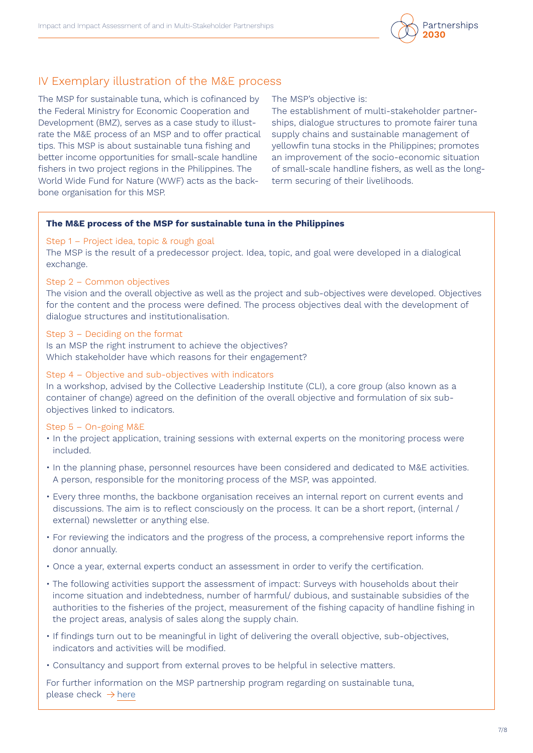

## IV Exemplary illustration of the M&E process

The MSP for sustainable tuna, which is cofinanced by the Federal Ministry for Economic Cooperation and Development (BMZ), serves as a case study to illustrate the M&E process of an MSP and to offer practical tips. This MSP is about sustainable tuna fishing and better income opportunities for small-scale handline fishers in two project regions in the Philippines. The World Wide Fund for Nature (WWF) acts as the backbone organisation for this MSP.

The MSP's objective is:

The establishment of multi-stakeholder partnerships, dialogue structures to promote fairer tuna supply chains and sustainable management of yellowfin tuna stocks in the Philippines; promotes an improvement of the socio-economic situation of small-scale handline fishers, as well as the longterm securing of their livelihoods.

### **The M&E process of the MSP for sustainable tuna in the Philippines**

### Step 1 – Project idea, topic & rough goal

The MSP is the result of a predecessor project. Idea, topic, and goal were developed in a dialogical exchange.

#### Step 2 – Common objectives

The vision and the overall objective as well as the project and sub-objectives were developed. Objectives for the content and the process were defined. The process objectives deal with the development of dialogue structures and institutionalisation.

#### Step 3 – Deciding on the format

Is an MSP the right instrument to achieve the objectives? Which stakeholder have which reasons for their engagement?

## Step 4 – Objective and sub-objectives with indicators

In a workshop, advised by the Collective Leadership Institute (CLI), a core group (also known as a container of change) agreed on the definition of the overall objective and formulation of six subobjectives linked to indicators.

## Step 5 – On-going M&E

- In the project application, training sessions with external experts on the monitoring process were included.
- In the planning phase, personnel resources have been considered and dedicated to M&E activities. A person, responsible for the monitoring process of the MSP, was appointed.
- Every three months, the backbone organisation receives an internal report on current events and discussions. The aim is to reflect consciously on the process. It can be a short report, (internal / external) newsletter or anything else.
- For reviewing the indicators and the progress of the process, a comprehensive report informs the donor annually.
- Once a year, external experts conduct an assessment in order to verify the certification.
- The following activities support the assessment of impact: Surveys with households about their income situation and indebtedness, number of harmful/ dubious, and sustainable subsidies of the authorities to the fisheries of the project, measurement of the fishing capacity of handline fishing in the project areas, analysis of sales along the supply chain.
- If findings turn out to be meaningful in light of delivering the overall objective, sub-objectives, indicators and activities will be modified.
- Consultancy and support from external proves to be helpful in selective matters.

For further information on the MSP partnership program regarding on sustainable tuna, please check  $\rightarrow$  [here](https://wwf.org.ph/what-we-do/food/pptst/)